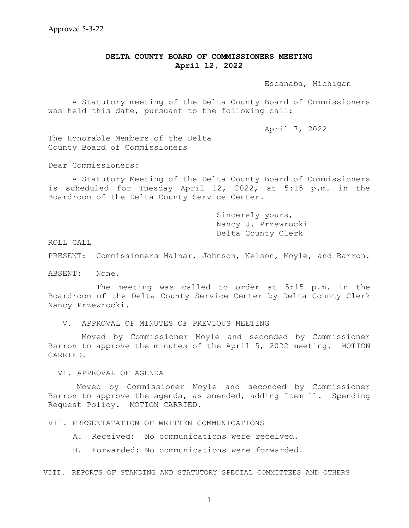## **DELTA COUNTY BOARD OF COMMISSIONERS MEETING April 12, 2022**

Escanaba, Michigan

 A Statutory meeting of the Delta County Board of Commissioners was held this date, pursuant to the following call:

April 7, 2022

The Honorable Members of the Delta County Board of Commissioners

Dear Commissioners:

A Statutory Meeting of the Delta County Board of Commissioners is scheduled for Tuesday April 12, 2022, at 5:15 p.m. in the Boardroom of the Delta County Service Center.

> Sincerely yours, Nancy J. Przewrocki Delta County Clerk

ROLL CALL

PRESENT: Commissioners Malnar, Johnson, Nelson, Moyle, and Barron.

ABSENT: None.

The meeting was called to order at 5:15 p.m. in the Boardroom of the Delta County Service Center by Delta County Clerk Nancy Przewrocki.

V. APPROVAL OF MINUTES OF PREVIOUS MEETING

 Moved by Commissioner Moyle and seconded by Commissioner Barron to approve the minutes of the April 5, 2022 meeting. MOTION CARRIED.

VI. APPROVAL OF AGENDA

Moved by Commissioner Moyle and seconded by Commissioner Barron to approve the agenda, as amended, adding Item 11. Spending Request Policy. MOTION CARRIED.

VII. PRESENTATATION OF WRITTEN COMMUNICATIONS

A. Received: No communications were received.

B. Forwarded: No communications were forwarded.

VIII. REPORTS OF STANDING AND STATUTORY SPECIAL COMMITTEES AND OTHERS

1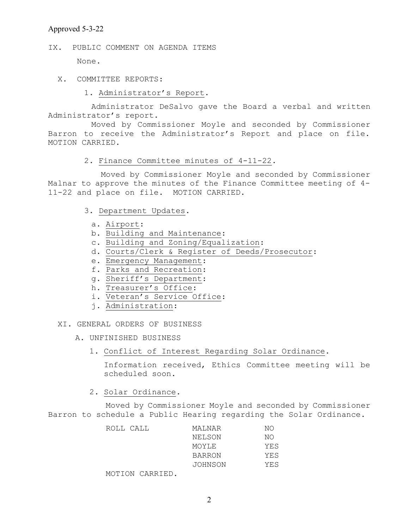## Approved 5-3-22

IX. PUBLIC COMMENT ON AGENDA ITEMS

None.

- X. COMMITTEE REPORTS:
	- 1. Administrator's Report.

 Administrator DeSalvo gave the Board a verbal and written Administrator's report.

 Moved by Commissioner Moyle and seconded by Commissioner Barron to receive the Administrator's Report and place on file. MOTION CARRIED.

### 2. Finance Committee minutes of 4-11-22.

 Moved by Commissioner Moyle and seconded by Commissioner Malnar to approve the minutes of the Finance Committee meeting of 4- 11-22 and place on file. MOTION CARRIED.

- 3. Department Updates.
	- a. Airport:
	- b. Building and Maintenance:
	- c. Building and Zoning/Equalization:
	- d. Courts/Clerk & Register of Deeds/Prosecutor:
	- e. Emergency Management:
	- f. Parks and Recreation:
	- g. Sheriff's Department:
	- h. Treasurer's Office:
	- i. Veteran's Service Office:
	- j. Administration:

XI. GENERAL ORDERS OF BUSINESS

- A. UNFINISHED BUSINESS
	- 1. Conflict of Interest Regarding Solar Ordinance.

Information received, Ethics Committee meeting will be scheduled soon.

2. Solar Ordinance.

 Moved by Commissioner Moyle and seconded by Commissioner Barron to schedule a Public Hearing regarding the Solar Ordinance.

| ROLL CALL |                 | MALNAR  | NΟ  |
|-----------|-----------------|---------|-----|
|           |                 | NELSON  | NΟ  |
|           |                 | MOYLE   | YES |
|           |                 | BARRON  | YES |
|           |                 | JOHNSON | YES |
|           | MOTION CARRIED. |         |     |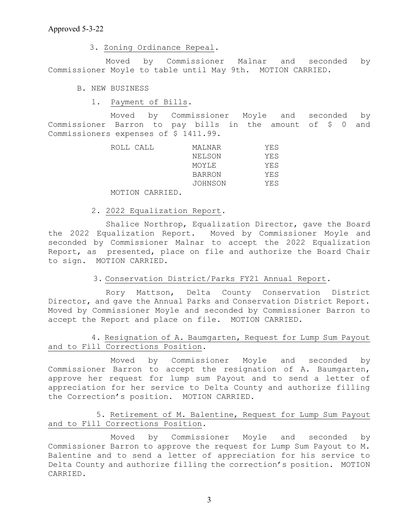3. Zoning Ordinance Repeal.

 Moved by Commissioner Malnar and seconded by Commissioner Moyle to table until May 9th. MOTION CARRIED.

B. NEW BUSINESS

1. Payment of Bills.

 Moved by Commissioner Moyle and seconded by Commissioner Barron to pay bills in the amount of \$ 0 and Commissioners expenses of \$ 1411.99.

| ROLL CALL | MALNAR        | YES  |
|-----------|---------------|------|
|           | NELSON        | YES. |
|           | MOYLE         | YES  |
|           | <b>BARRON</b> | YES  |
|           | JOHNSON       | YES  |
|           |               |      |

MOTION CARRIED.

2. 2022 Equalization Report.

 Shalice Northrop, Equalization Director, gave the Board the 2022 Equalization Report. Moved by Commissioner Moyle and seconded by Commissioner Malnar to accept the 2022 Equalization Report, as presented, place on file and authorize the Board Chair to sign. MOTION CARRIED.

## 3. Conservation District/Parks FY21 Annual Report.

 Rory Mattson, Delta County Conservation District Director, and gave the Annual Parks and Conservation District Report. Moved by Commissioner Moyle and seconded by Commissioner Barron to accept the Report and place on file. MOTION CARRIED.

## 4. Resignation of A. Baumgarten, Request for Lump Sum Payout and to Fill Corrections Position.

 Moved by Commissioner Moyle and seconded by Commissioner Barron to accept the resignation of A. Baumgarten, approve her request for lump sum Payout and to send a letter of appreciation for her service to Delta County and authorize filling the Correction's position. MOTION CARRIED.

# 5. Retirement of M. Balentine, Request for Lump Sum Payout and to Fill Corrections Position.

 Moved by Commissioner Moyle and seconded by Commissioner Barron to approve the request for Lump Sum Payout to M. Balentine and to send a letter of appreciation for his service to Delta County and authorize filling the correction's position. MOTION CARRIED.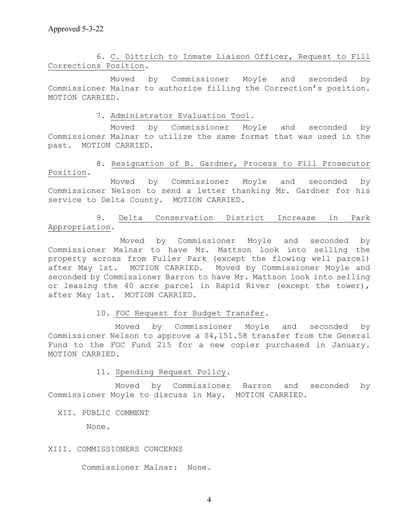6. C. Dittrich to Inmate Liaison Officer, Request to Fill Corrections Position.

 Moved by Commissioner Moyle and seconded by Commissioner Malnar to authorize filling the Correction's position. MOTION CARRIED.

7. Administrator Evaluation Tool.

 Moved by Commissioner Moyle and seconded by Commissioner Malnar to utilize the same format that was used in the past. MOTION CARRIED.

 8. Resignation of B. Gardner, Process to Fill Prosecutor Position.

 Moved by Commissioner Moyle and seconded by Commissioner Nelson to send a letter thanking Mr. Gardner for his service to Delta County. MOTION CARRIED.

9. Delta Conservation District Increase in Park Appropriation.

Moved by Commissioner Moyle and seconded by Commissioner Malnar to have Mr. Mattson look into selling the property across from Fuller Park (except the flowing well parcel) after May 1st. MOTION CARRIED. Moved by Commissioner Moyle and seconded by Commissioner Barron to have Mr. Mattson look into selling or leasing the 40 acre parcel in Rapid River (except the tower), after May 1st. MOTION CARRIED.

10. FOC Request for Budget Transfer.

 Moved by Commissioner Moyle and seconded by Commissioner Nelson to approve a \$4,151.58 transfer from the General Fund to the FOC Fund 215 for a new copier purchased in January. MOTION CARRIED.

11. Spending Request Policy.

 Moved by Commissioner Barron and seconded by Commissioner Moyle to discuss in May. MOTION CARRIED.

XII. PUBLIC COMMENT

None.

## XIII. COMMISSIONERS CONCERNS

Commissioner Malnar: None.